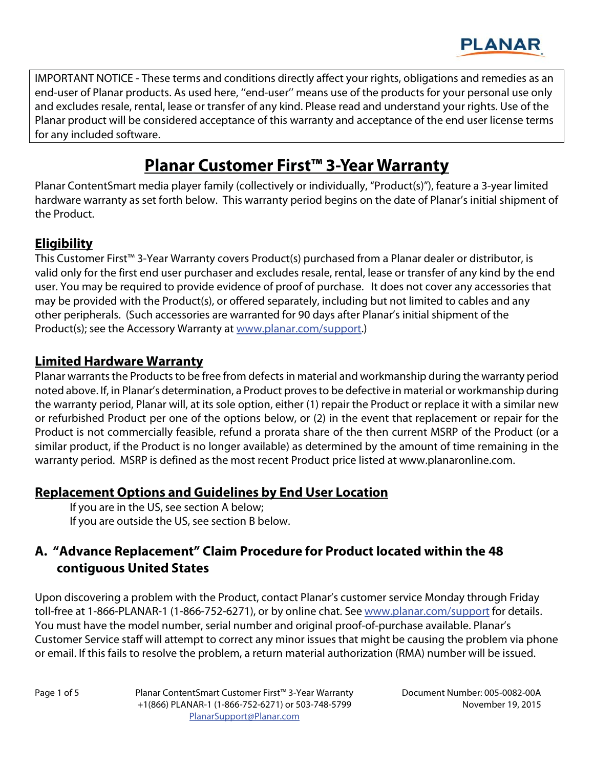

IMPORTANT NOTICE - These terms and conditions directly affect your rights, obligations and remedies as an end-user of Planar products. As used here, ''end-user'' means use of the products for your personal use only and excludes resale, rental, lease or transfer of any kind. Please read and understand your rights. Use of the Planar product will be considered acceptance of this warranty and acceptance of the end user license terms for any included software.

# **Planar Customer First™ 3-Year Warranty**

Planar ContentSmart media player family (collectively or individually, "Product(s)"), feature a 3-year limited hardware warranty as set forth below. This warranty period begins on the date of Planar's initial shipment of the Product.

## **Eligibility**

This Customer First™ 3-Year Warranty covers Product(s) purchased from a Planar dealer or distributor, is valid only for the first end user purchaser and excludes resale, rental, lease or transfer of any kind by the end user. You may be required to provide evidence of proof of purchase. It does not cover any accessories that may be provided with the Product(s), or offered separately, including but not limited to cables and any other peripherals. (Such accessories are warranted for 90 days after Planar's initial shipment of the Product(s); see the Accessory Warranty at www.planar.com/support.)

#### **Limited Hardware Warranty**

Planar warrants the Products to be free from defects in material and workmanship during the warranty period noted above. If, in Planar's determination, a Product proves to be defective in material or workmanship during the warranty period, Planar will, at its sole option, either (1) repair the Product or replace it with a similar new or refurbished Product per one of the options below, or (2) in the event that replacement or repair for the Product is not commercially feasible, refund a prorata share of the then current MSRP of the Product (or a similar product, if the Product is no longer available) as determined by the amount of time remaining in the warranty period. MSRP is defined as the most recent Product price listed at www.planaronline.com.

## **Replacement Options and Guidelines by End User Location**

 If you are in the US, see section A below; If you are outside the US, see section B below.

## **A. "Advance Replacement" Claim Procedure for Product located within the 48 contiguous United States**

Upon discovering a problem with the Product, contact Planar's customer service Monday through Friday toll-free at 1-866-PLANAR-1 (1-866-752-6271), or by online chat. See www.planar.com/support for details. You must have the model number, serial number and original proof-of-purchase available. Planar's Customer Service staff will attempt to correct any minor issues that might be causing the problem via phone or email. If this fails to resolve the problem, a return material authorization (RMA) number will be issued.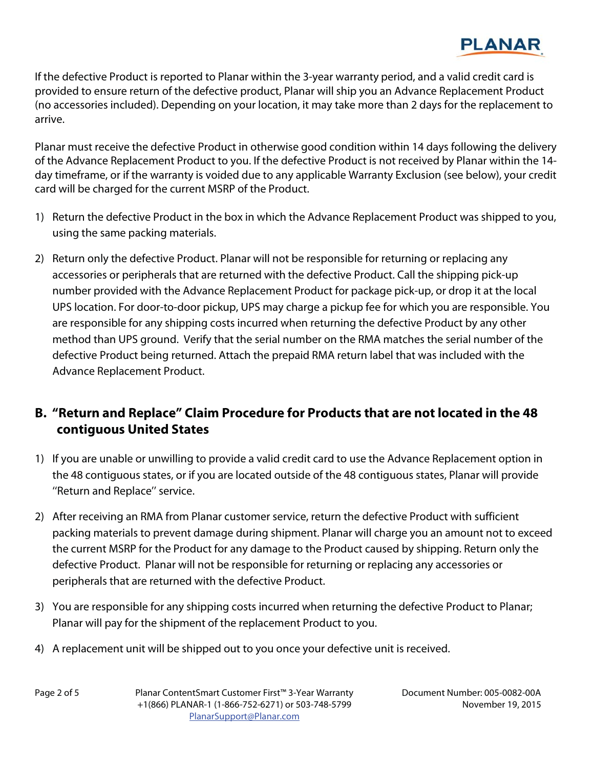

If the defective Product is reported to Planar within the 3-year warranty period, and a valid credit card is provided to ensure return of the defective product, Planar will ship you an Advance Replacement Product (no accessories included). Depending on your location, it may take more than 2 days for the replacement to arrive.

Planar must receive the defective Product in otherwise good condition within 14 days following the delivery of the Advance Replacement Product to you. If the defective Product is not received by Planar within the 14 day timeframe, or if the warranty is voided due to any applicable Warranty Exclusion (see below), your credit card will be charged for the current MSRP of the Product.

- 1) Return the defective Product in the box in which the Advance Replacement Product was shipped to you, using the same packing materials.
- 2) Return only the defective Product. Planar will not be responsible for returning or replacing any accessories or peripherals that are returned with the defective Product. Call the shipping pick-up number provided with the Advance Replacement Product for package pick-up, or drop it at the local UPS location. For door-to-door pickup, UPS may charge a pickup fee for which you are responsible. You are responsible for any shipping costs incurred when returning the defective Product by any other method than UPS ground. Verify that the serial number on the RMA matches the serial number of the defective Product being returned. Attach the prepaid RMA return label that was included with the Advance Replacement Product.

## **B. "Return and Replace" Claim Procedure for Products that are not located in the 48 contiguous United States**

- 1) If you are unable or unwilling to provide a valid credit card to use the Advance Replacement option in the 48 contiguous states, or if you are located outside of the 48 contiguous states, Planar will provide ''Return and Replace'' service.
- 2) After receiving an RMA from Planar customer service, return the defective Product with sufficient packing materials to prevent damage during shipment. Planar will charge you an amount not to exceed the current MSRP for the Product for any damage to the Product caused by shipping. Return only the defective Product. Planar will not be responsible for returning or replacing any accessories or peripherals that are returned with the defective Product.
- 3) You are responsible for any shipping costs incurred when returning the defective Product to Planar; Planar will pay for the shipment of the replacement Product to you.
- 4) A replacement unit will be shipped out to you once your defective unit is received.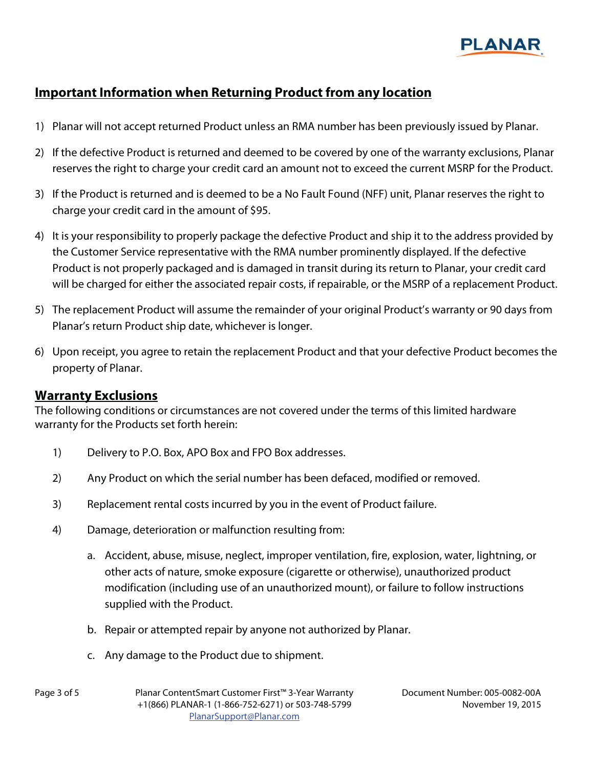

## **Important Information when Returning Product from any location**

- 1) Planar will not accept returned Product unless an RMA number has been previously issued by Planar.
- 2) If the defective Product is returned and deemed to be covered by one of the warranty exclusions, Planar reserves the right to charge your credit card an amount not to exceed the current MSRP for the Product.
- 3) If the Product is returned and is deemed to be a No Fault Found (NFF) unit, Planar reserves the right to charge your credit card in the amount of \$95.
- 4) It is your responsibility to properly package the defective Product and ship it to the address provided by the Customer Service representative with the RMA number prominently displayed. If the defective Product is not properly packaged and is damaged in transit during its return to Planar, your credit card will be charged for either the associated repair costs, if repairable, or the MSRP of a replacement Product.
- 5) The replacement Product will assume the remainder of your original Product's warranty or 90 days from Planar's return Product ship date, whichever is longer.
- 6) Upon receipt, you agree to retain the replacement Product and that your defective Product becomes the property of Planar.

#### **Warranty Exclusions**

The following conditions or circumstances are not covered under the terms of this limited hardware warranty for the Products set forth herein:

- 1) Delivery to P.O. Box, APO Box and FPO Box addresses.
- 2) Any Product on which the serial number has been defaced, modified or removed.
- 3) Replacement rental costs incurred by you in the event of Product failure.
- 4) Damage, deterioration or malfunction resulting from:
	- a. Accident, abuse, misuse, neglect, improper ventilation, fire, explosion, water, lightning, or other acts of nature, smoke exposure (cigarette or otherwise), unauthorized product modification (including use of an unauthorized mount), or failure to follow instructions supplied with the Product.
	- b. Repair or attempted repair by anyone not authorized by Planar.
	- c. Any damage to the Product due to shipment.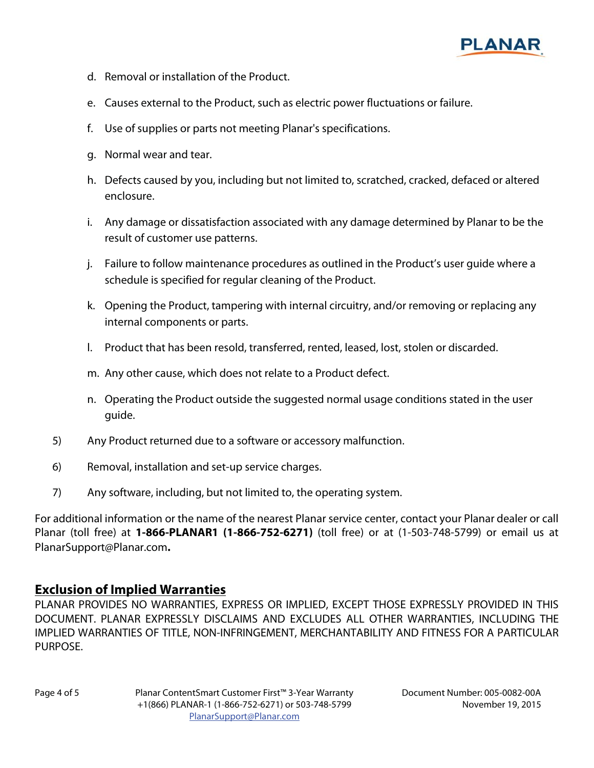

- d. Removal or installation of the Product.
- e. Causes external to the Product, such as electric power fluctuations or failure.
- f. Use of supplies or parts not meeting Planar's specifications.
- g. Normal wear and tear.
- h. Defects caused by you, including but not limited to, scratched, cracked, defaced or altered enclosure.
- i. Any damage or dissatisfaction associated with any damage determined by Planar to be the result of customer use patterns.
- j. Failure to follow maintenance procedures as outlined in the Product's user guide where a schedule is specified for regular cleaning of the Product.
- k. Opening the Product, tampering with internal circuitry, and/or removing or replacing any internal components or parts.
- l. Product that has been resold, transferred, rented, leased, lost, stolen or discarded.
- m. Any other cause, which does not relate to a Product defect.
- n. Operating the Product outside the suggested normal usage conditions stated in the user guide.
- 5) Any Product returned due to a software or accessory malfunction.
- 6) Removal, installation and set-up service charges.
- 7) Any software, including, but not limited to, the operating system.

For additional information or the name of the nearest Planar service center, contact your Planar dealer or call Planar (toll free) at **1-866-PLANAR1 (1-866-752-6271)** (toll free) or at (1-503-748-5799) or email us at PlanarSupport@Planar.com**.**

#### **Exclusion of Implied Warranties**

PLANAR PROVIDES NO WARRANTIES, EXPRESS OR IMPLIED, EXCEPT THOSE EXPRESSLY PROVIDED IN THIS DOCUMENT. PLANAR EXPRESSLY DISCLAIMS AND EXCLUDES ALL OTHER WARRANTIES, INCLUDING THE IMPLIED WARRANTIES OF TITLE, NON-INFRINGEMENT, MERCHANTABILITY AND FITNESS FOR A PARTICULAR PURPOSE.